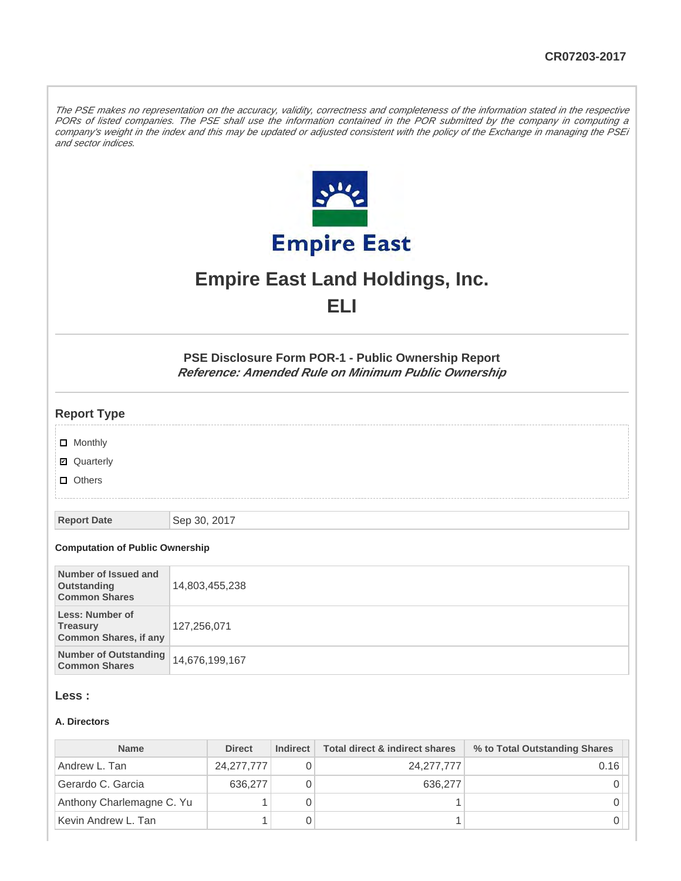The PSE makes no representation on the accuracy, validity, correctness and completeness of the information stated in the respective PORs of listed companies. The PSE shall use the information contained in the POR submitted by the company in computing a company's weight in the index and this may be updated or adjusted consistent with the policy of the Exchange in managing the PSEi and sector indices.



# **Empire East Land Holdings, Inc. ELI**

**PSE Disclosure Form POR-1 - Public Ownership Report Reference: Amended Rule on Minimum Public Ownership**

## **Report Type**

- **D** Monthly
- Quarterly
- **D** Others

**Report Date** Sep 30, 2017

#### **Computation of Public Ownership**

| Number of Issued and<br>Outstanding<br><b>Common Shares</b>               | 14,803,455,238 |
|---------------------------------------------------------------------------|----------------|
| <b>Less: Number of</b><br><b>Treasury</b><br><b>Common Shares, if any</b> | 127,256,071    |
| <b>Number of Outstanding</b><br><b>Common Shares</b>                      | 14,676,199,167 |

#### **Less :**

#### **A. Directors**

| <b>Name</b>               | <b>Direct</b> | Indirect | Total direct & indirect shares | % to Total Outstanding Shares |
|---------------------------|---------------|----------|--------------------------------|-------------------------------|
| Andrew L. Tan             | 24, 277, 777  |          | 24, 277, 777                   | 0.16                          |
| Gerardo C. Garcia         | 636,277       |          | 636,277                        |                               |
| Anthony Charlemagne C. Yu |               |          |                                |                               |
| Kevin Andrew L. Tan       |               |          |                                |                               |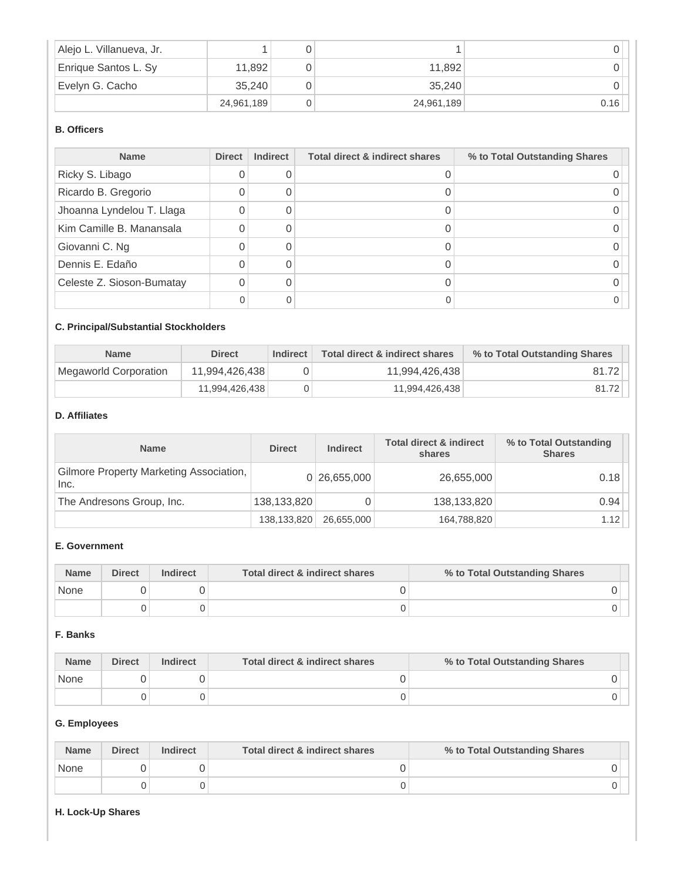| Alejo L. Villanueva, Jr. |            |            |      |
|--------------------------|------------|------------|------|
| Enrique Santos L. Sy     | 11,892     | 11.892     |      |
| Evelyn G. Cacho          | 35.240     | 35.240     |      |
|                          | 24,961,189 | 24,961,189 | 0.16 |

# **B. Officers**

| <b>Name</b>               | <b>Direct</b> | <b>Indirect</b> | Total direct & indirect shares | % to Total Outstanding Shares |
|---------------------------|---------------|-----------------|--------------------------------|-------------------------------|
| Ricky S. Libago           | U             |                 |                                |                               |
| Ricardo B. Gregorio       |               |                 |                                |                               |
| Jhoanna Lyndelou T. Llaga | 0             |                 |                                |                               |
| Kim Camille B. Manansala  | 0             |                 |                                |                               |
| Giovanni C. Ng            | ი             |                 |                                |                               |
| Dennis E. Edaño           |               |                 |                                |                               |
| Celeste Z. Sioson-Bumatay | 0             |                 |                                |                               |
|                           |               | Ω               |                                |                               |

# **C. Principal/Substantial Stockholders**

| <b>Name</b>           | <b>Direct</b>  | Indirect | Total direct & indirect shares | % to Total Outstanding Shares |
|-----------------------|----------------|----------|--------------------------------|-------------------------------|
| Megaworld Corporation | 11,994,426,438 |          | 11.994.426.438                 | 81.72                         |
|                       | 11,994,426,438 |          | 11,994,426,438                 | 81.72                         |

## **D. Affiliates**

| <b>Name</b>                                     | <b>Direct</b> | <b>Indirect</b> | <b>Total direct &amp; indirect</b><br>shares | % to Total Outstanding<br><b>Shares</b> |
|-------------------------------------------------|---------------|-----------------|----------------------------------------------|-----------------------------------------|
| Gilmore Property Marketing Association,<br>Inc. |               | 0 26,655,000    | 26,655,000                                   | 0.18                                    |
| The Andresons Group, Inc.                       | 138,133,820   |                 | 138,133,820                                  | 0.94                                    |
|                                                 | 138,133,820   | 26.655.000      | 164,788,820                                  | 1.12                                    |

## **E. Government**

| <b>Name</b> | <b>Direct</b> | <b>Indirect</b> | Total direct & indirect shares | % to Total Outstanding Shares |
|-------------|---------------|-----------------|--------------------------------|-------------------------------|
| None        |               |                 |                                |                               |
|             |               |                 |                                |                               |

# **F. Banks**

| <b>Name</b> | <b>Direct</b> | <b>Indirect</b> | Total direct & indirect shares | % to Total Outstanding Shares |
|-------------|---------------|-----------------|--------------------------------|-------------------------------|
| None        |               |                 |                                |                               |
|             |               |                 |                                |                               |

## **G. Employees**

| <b>Name</b> | <b>Direct</b> | <b>Indirect</b> | Total direct & indirect shares | % to Total Outstanding Shares |
|-------------|---------------|-----------------|--------------------------------|-------------------------------|
| None        |               |                 |                                |                               |
|             |               |                 |                                |                               |

#### **H. Lock-Up Shares**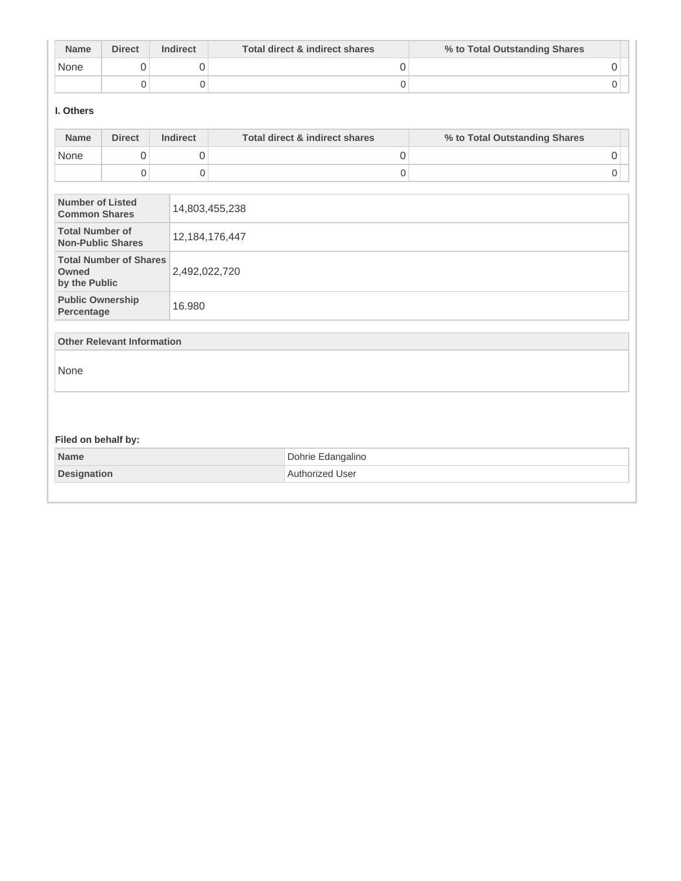| <b>Name</b> | <b>Direct</b> | <b>Indirect</b> | Total direct & indirect shares | % to Total Outstanding Shares |
|-------------|---------------|-----------------|--------------------------------|-------------------------------|
| None        |               |                 |                                |                               |
|             |               |                 |                                |                               |

## **I. Others**

| <b>Name</b>                                        | <b>Direct</b>                     | <b>Indirect</b>     | <b>Total direct &amp; indirect shares</b> | % to Total Outstanding Shares |
|----------------------------------------------------|-----------------------------------|---------------------|-------------------------------------------|-------------------------------|
| None                                               | 0                                 | 0                   | 0                                         | 0                             |
|                                                    | $\mathbf 0$                       | $\mathsf{O}\xspace$ | $\mathsf 0$                               | 0                             |
| <b>Number of Listed</b><br><b>Common Shares</b>    |                                   |                     | 14,803,455,238                            |                               |
| <b>Total Number of</b><br><b>Non-Public Shares</b> |                                   |                     | 12, 184, 176, 447                         |                               |
| Owned<br>by the Public                             | <b>Total Number of Shares</b>     | 2,492,022,720       |                                           |                               |
| <b>Public Ownership</b><br>Percentage              |                                   | 16.980              |                                           |                               |
|                                                    | <b>Other Relevant Information</b> |                     |                                           |                               |
| None                                               |                                   |                     |                                           |                               |
|                                                    |                                   |                     |                                           |                               |
| Filed on behalf by:                                |                                   |                     |                                           |                               |
| <b>Name</b>                                        |                                   |                     | Dohrie Edangalino                         |                               |
| <b>Designation</b>                                 |                                   |                     | Authorized User                           |                               |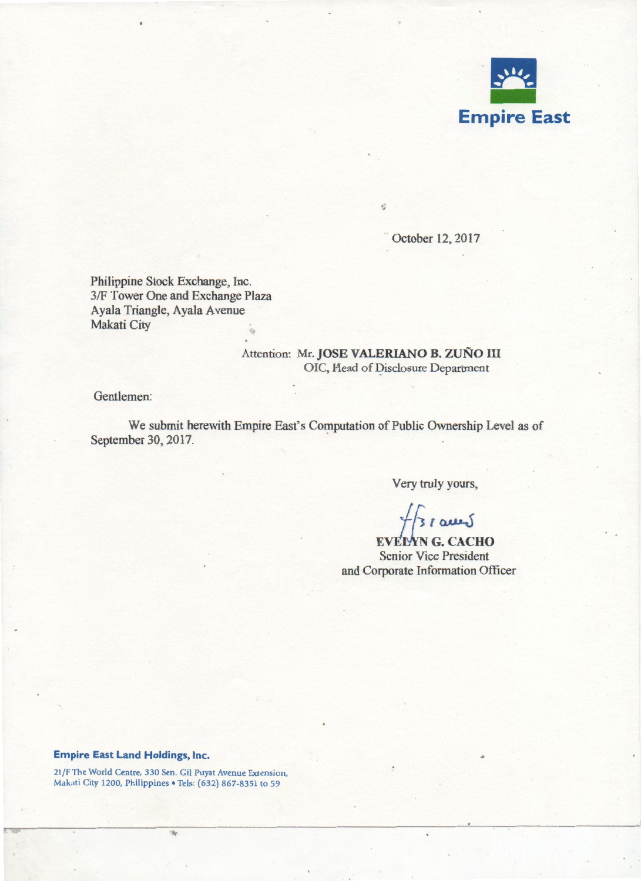

October 12,2017

Philippine Stock Exchange, Inc. 3/F Tower One and Exchange Plaza Ayala Triangle, Ayala Avenue Makati City

# Attention: Mr. JOSE VALERIANO B. ZUÑO III OIC, Head of Disclosure Department

ś

Gentlemen:

We submit herewith Empire East's Computation of Public Ownership Level as of September 30, 2017.

Very truly yours,

**EVELYNG. CACHO** Senior Vice President and Corporate Information Officer

#### Empire East Land Holdings, Inc.

21 /F The World Centre, 330 Sen. Gil Puyat Avenue Extension, Makati City 1200, Philippines • Tels: (632) 867-8351 to 59

rij.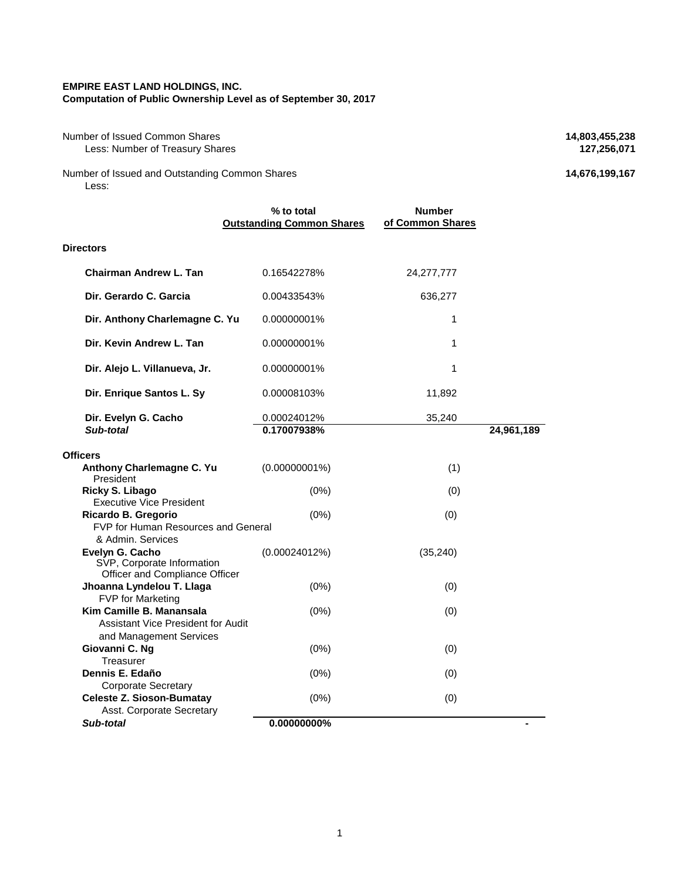#### **EMPIRE EAST LAND HOLDINGS, INC.**

**Computation of Public Ownership Level as of September 30, 2017**

Number of Issued Common Shares **14,803,455,238**<br>Less: Number of Treasury Shares **127,256,071 Less: Number of Treasury Shares** 

Number of Issued and Outstanding Common Shares **14,676,199,167** Less:

|                                                                                           | % to total<br><b>Outstanding Common Shares</b> | <b>Number</b><br>of Common Shares |            |
|-------------------------------------------------------------------------------------------|------------------------------------------------|-----------------------------------|------------|
| <b>Directors</b>                                                                          |                                                |                                   |            |
| Chairman Andrew L. Tan                                                                    | 0.16542278%                                    | 24,277,777                        |            |
| Dir. Gerardo C. Garcia                                                                    | 0.00433543%                                    | 636,277                           |            |
| Dir. Anthony Charlemagne C. Yu                                                            | 0.00000001%                                    | 1                                 |            |
| Dir. Kevin Andrew L. Tan                                                                  | 0.00000001%                                    | 1                                 |            |
| Dir. Alejo L. Villanueva, Jr.                                                             | 0.00000001%                                    | 1                                 |            |
| Dir. Enrique Santos L. Sy                                                                 | 0.00008103%                                    | 11,892                            |            |
| Dir. Evelyn G. Cacho<br>Sub-total                                                         | 0.00024012%<br>0.17007938%                     | 35,240                            | 24,961,189 |
| <b>Officers</b>                                                                           |                                                |                                   |            |
| Anthony Charlemagne C. Yu                                                                 | $(0.00000001\%)$                               | (1)                               |            |
| President<br>Ricky S. Libago<br><b>Executive Vice President</b>                           | (0%)                                           | (0)                               |            |
| Ricardo B. Gregorio<br>FVP for Human Resources and General<br>& Admin, Services           | (0%)                                           | (0)                               |            |
| Evelyn G. Cacho<br>SVP, Corporate Information<br>Officer and Compliance Officer           | (0.00024012%)                                  | (35, 240)                         |            |
| Jhoanna Lyndelou T. Llaga<br><b>FVP</b> for Marketing                                     | (0%)                                           | (0)                               |            |
| Kim Camille B. Manansala<br>Assistant Vice President for Audit<br>and Management Services | (0%)                                           | (0)                               |            |
| Giovanni C. Ng<br>Treasurer                                                               | (0%)                                           | (0)                               |            |
| Dennis E. Edaño<br><b>Corporate Secretary</b>                                             | (0%)                                           | (0)                               |            |
| <b>Celeste Z. Sioson-Bumatay</b><br>Asst. Corporate Secretary                             | (0%)                                           | (0)                               |            |
| Sub-total                                                                                 | 0.00000000%                                    |                                   |            |